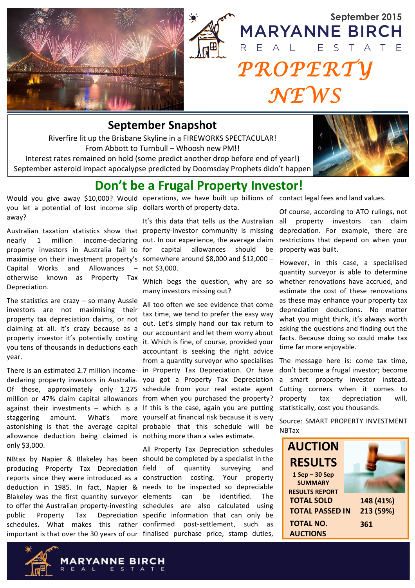



## **September Snapshot**

Riverfire lit up the Brisbane Skyline in a FIREWORKS SPECTACULAR! From Abbott to Turnbull - Whoosh new PM!!

Interest rates remained on hold (some predict another drop before end of year!) September asteroid impact apocalypse predicted by Doomsday Prophets didn't happen



# Don't be a Frugal Property Investor!

you let a potential of lost income slip dollars worth of property data. away?

nearly  $\mathbf{1}$ million property investors in Australia fail to for capital allowances should maximise on their investment property's somewhere around \$8,000 and \$12,000 -Capital Works and Allowances Property Tax otherwise known as Depreciation.

The statistics are crazy  $-$  so many Aussie investors are not maximising their property tax depreciation claims, or not claiming at all. It's crazy because as a property investor it's potentially costing you tens of thousands in deductions each vear.

declaring property investors in Australia. you got a Property Tax Depreciation Of those, approximately only 1.275 schedule from your real estate agent million or 47% claim capital allowances from when you purchased the property? against their investments - which is a If this is the case, again you are putting amount. What's staggering astonishing is that the average capital probable that this schedule will be allowance deduction being claimed is nothing more than a sales estimate. only \$3,000.

producing Property Tax Depreciation field reports since they were introduced as a construction costing. deduction in 1985. In fact. Napier & needs to be inspected so depreciable Blakeley was the first quantity surveyor elements to offer the Australian property-investing schedules are also calculated using public Property Tax schedules. What makes this rather confirmed post-settlement, such as important is that over the 30 years of our finalised purchase price, stamp duties,

Would you give away \$10,000? Would operations, we have built up billions of contact legal fees and land values.

It's this data that tells us the Australian Australian taxation statistics show that property-investor community is missing income-declaring out. In our experience, the average claim be  $-$  not \$3,000.

> Which begs the question, why are so many investors missing out?

All too often we see evidence that come tax time, we tend to prefer the easy way out. Let's simply hand our tax return to our accountant and let them worry about it. Which is fine, of course, provided your accountant is seeking the right advice from a quantity surveyor who specialises There is an estimated 2.7 million income- in Property Tax Depreciation. Or have more vourself at financial risk because it is very

All Property Tax Depreciation schedules NBtax by Napier & Blakeley has been should be completed by a specialist in the of quantity surveying and Your property be can identified. The Depreciation specific information that can only be

Of course, according to ATO rulings, not property investors can claim all depreciation. For example, there are restrictions that depend on when your property was built.

However, in this case, a specialised quantity survevor is able to determine whether renovations have accrued, and estimate the cost of these renovations as these may enhance your property tax depreciation deductions. No matter what you might think, it's always worth asking the questions and finding out the facts. Because doing so could make tax time far more enjoyable.

The message here is: come tax time, don't become a frugal investor; become a smart property investor instead. Cutting corners when it comes to property depreciation will. tax statistically, cost you thousands.

Source: SMART PROPERTY INVESTMENT **NBTax**